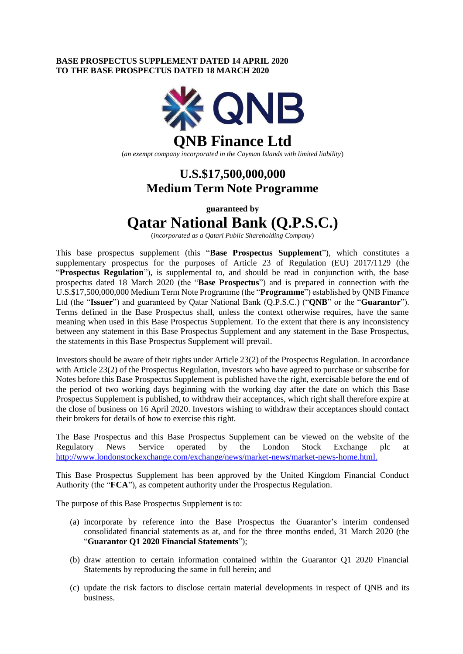## **BASE PROSPECTUS SUPPLEMENT DATED 14 APRIL 2020 TO THE BASE PROSPECTUS DATED 18 MARCH 2020**



(*an exempt company incorporated in the Cayman Islands with limited liability*)

# **U.S.\$17,500,000,000 Medium Term Note Programme**

**guaranteed by**

# **Qatar National Bank (Q.P.S.C.)**

(*incorporated as a Qatari Public Shareholding Company*)

This base prospectus supplement (this "**Base Prospectus Supplement**"), which constitutes a supplementary prospectus for the purposes of Article 23 of Regulation (EU) 2017/1129 (the "**Prospectus Regulation**"), is supplemental to, and should be read in conjunction with, the base prospectus dated 18 March 2020 (the "**Base Prospectus**") and is prepared in connection with the U.S.\$17,500,000,000 Medium Term Note Programme (the "**Programme**") established by QNB Finance Ltd (the "**Issuer**") and guaranteed by Qatar National Bank (Q.P.S.C.) ("**QNB**" or the "**Guarantor**"). Terms defined in the Base Prospectus shall, unless the context otherwise requires, have the same meaning when used in this Base Prospectus Supplement. To the extent that there is any inconsistency between any statement in this Base Prospectus Supplement and any statement in the Base Prospectus, the statements in this Base Prospectus Supplement will prevail.

Investors should be aware of their rights under Article 23(2) of the Prospectus Regulation. In accordance with Article 23(2) of the Prospectus Regulation, investors who have agreed to purchase or subscribe for Notes before this Base Prospectus Supplement is published have the right, exercisable before the end of the period of two working days beginning with the working day after the date on which this Base Prospectus Supplement is published, to withdraw their acceptances, which right shall therefore expire at the close of business on 16 April 2020. Investors wishing to withdraw their acceptances should contact their brokers for details of how to exercise this right.

The Base Prospectus and this Base Prospectus Supplement can be viewed on the website of the Regulatory News Service operated by the London Stock Exchange plc at <http://www.londonstockexchange.com/exchange/news/market-news/market-news-home.html.>

This Base Prospectus Supplement has been approved by the United Kingdom Financial Conduct Authority (the "**FCA**"), as competent authority under the Prospectus Regulation.

The purpose of this Base Prospectus Supplement is to:

- (a) incorporate by reference into the Base Prospectus the Guarantor's interim condensed consolidated financial statements as at, and for the three months ended, 31 March 2020 (the "**Guarantor Q1 2020 Financial Statements**");
- (b) draw attention to certain information contained within the Guarantor Q1 2020 Financial Statements by reproducing the same in full herein; and
- (c) update the risk factors to disclose certain material developments in respect of QNB and its business.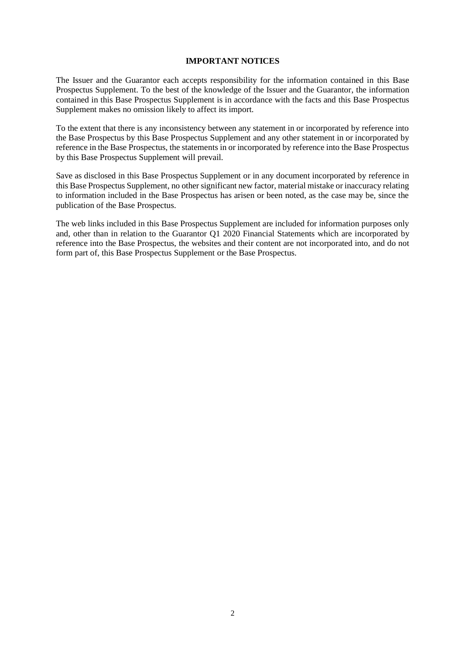### **IMPORTANT NOTICES**

The Issuer and the Guarantor each accepts responsibility for the information contained in this Base Prospectus Supplement. To the best of the knowledge of the Issuer and the Guarantor, the information contained in this Base Prospectus Supplement is in accordance with the facts and this Base Prospectus Supplement makes no omission likely to affect its import.

To the extent that there is any inconsistency between any statement in or incorporated by reference into the Base Prospectus by this Base Prospectus Supplement and any other statement in or incorporated by reference in the Base Prospectus, the statements in or incorporated by reference into the Base Prospectus by this Base Prospectus Supplement will prevail.

Save as disclosed in this Base Prospectus Supplement or in any document incorporated by reference in this Base Prospectus Supplement, no other significant new factor, material mistake or inaccuracy relating to information included in the Base Prospectus has arisen or been noted, as the case may be, since the publication of the Base Prospectus.

The web links included in this Base Prospectus Supplement are included for information purposes only and, other than in relation to the Guarantor Q1 2020 Financial Statements which are incorporated by reference into the Base Prospectus, the websites and their content are not incorporated into, and do not form part of, this Base Prospectus Supplement or the Base Prospectus.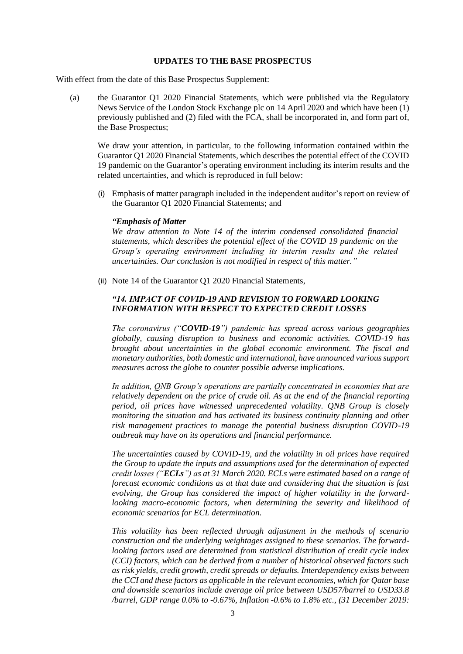#### **UPDATES TO THE BASE PROSPECTUS**

With effect from the date of this Base Prospectus Supplement:

(a) the Guarantor Q1 2020 Financial Statements, which were published via the Regulatory News Service of the London Stock Exchange plc on 14 April 2020 and which have been (1) previously published and (2) filed with the FCA, shall be incorporated in, and form part of, the Base Prospectus;

We draw your attention, in particular, to the following information contained within the Guarantor Q1 2020 Financial Statements, which describes the potential effect of the COVID 19 pandemic on the Guarantor's operating environment including its interim results and the related uncertainties, and which is reproduced in full below:

(i) Emphasis of matter paragraph included in the independent auditor's report on review of the Guarantor Q1 2020 Financial Statements; and

#### *"Emphasis of Matter*

*We draw attention to Note 14 of the interim condensed consolidated financial statements, which describes the potential effect of the COVID 19 pandemic on the Group's operating environment including its interim results and the related uncertainties. Our conclusion is not modified in respect of this matter."*

(ii) Note 14 of the Guarantor Q1 2020 Financial Statements,

#### *"14. IMPACT OF COVID-19 AND REVISION TO FORWARD LOOKING INFORMATION WITH RESPECT TO EXPECTED CREDIT LOSSES*

*The coronavirus ("COVID-19") pandemic has spread across various geographies globally, causing disruption to business and economic activities. COVID-19 has brought about uncertainties in the global economic environment. The fiscal and monetary authorities, both domestic and international, have announced various support measures across the globe to counter possible adverse implications.*

*In addition, QNB Group's operations are partially concentrated in economies that are relatively dependent on the price of crude oil. As at the end of the financial reporting period, oil prices have witnessed unprecedented volatility. QNB Group is closely monitoring the situation and has activated its business continuity planning and other risk management practices to manage the potential business disruption COVID-19 outbreak may have on its operations and financial performance.*

*The uncertainties caused by COVID-19, and the volatility in oil prices have required the Group to update the inputs and assumptions used for the determination of expected credit losses ("ECLs") as at 31 March 2020. ECLs were estimated based on a range of forecast economic conditions as at that date and considering that the situation is fast evolving, the Group has considered the impact of higher volatility in the forwardlooking macro-economic factors, when determining the severity and likelihood of economic scenarios for ECL determination.*

*This volatility has been reflected through adjustment in the methods of scenario construction and the underlying weightages assigned to these scenarios. The forwardlooking factors used are determined from statistical distribution of credit cycle index (CCI) factors, which can be derived from a number of historical observed factors such as risk yields, credit growth, credit spreads or defaults. Interdependency exists between the CCI and these factors as applicable in the relevant economies, which for Qatar base and downside scenarios include average oil price between USD57/barrel to USD33.8 /barrel, GDP range 0.0% to -0.67%, Inflation -0.6% to 1.8% etc., (31 December 2019:*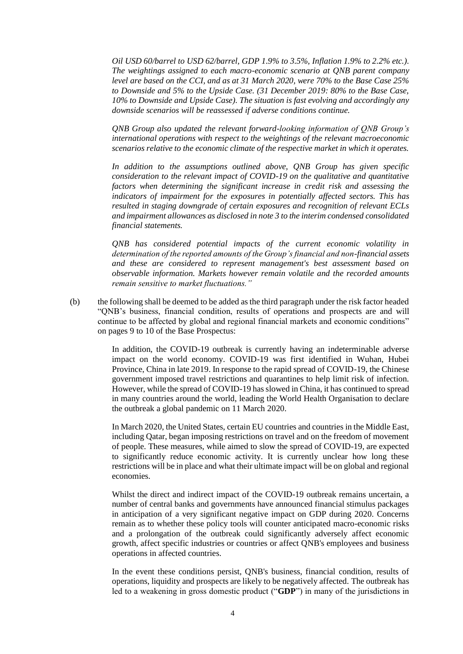*Oil USD 60/barrel to USD 62/barrel, GDP 1.9% to 3.5%, Inflation 1.9% to 2.2% etc.). The weightings assigned to each macro-economic scenario at QNB parent company level are based on the CCI, and as at 31 March 2020, were 70% to the Base Case 25% to Downside and 5% to the Upside Case. (31 December 2019: 80% to the Base Case, 10% to Downside and Upside Case). The situation is fast evolving and accordingly any downside scenarios will be reassessed if adverse conditions continue.*

*QNB Group also updated the relevant forward-looking information of QNB Group's international operations with respect to the weightings of the relevant macroeconomic scenarios relative to the economic climate of the respective market in which it operates.*

*In addition to the assumptions outlined above, QNB Group has given specific consideration to the relevant impact of COVID-19 on the qualitative and quantitative factors when determining the significant increase in credit risk and assessing the indicators of impairment for the exposures in potentially affected sectors. This has resulted in staging downgrade of certain exposures and recognition of relevant ECLs and impairment allowances as disclosed in note 3 to the interim condensed consolidated financial statements.*

*QNB has considered potential impacts of the current economic volatility in determination of the reported amounts of the Group's financial and non-financial assets and these are considered to represent management's best assessment based on observable information. Markets however remain volatile and the recorded amounts remain sensitive to market fluctuations."*

(b) the following shall be deemed to be added as the third paragraph under the risk factor headed "QNB's business, financial condition, results of operations and prospects are and will continue to be affected by global and regional financial markets and economic conditions" on pages 9 to 10 of the Base Prospectus:

> In addition, the COVID-19 outbreak is currently having an indeterminable adverse impact on the world economy. COVID-19 was first identified in Wuhan, Hubei Province, China in late 2019. In response to the rapid spread of COVID-19, the Chinese government imposed travel restrictions and quarantines to help limit risk of infection. However, while the spread of COVID-19 has slowed in China, it has continued to spread in many countries around the world, leading the World Health Organisation to declare the outbreak a global pandemic on 11 March 2020.

> In March 2020, the United States, certain EU countries and countries in the Middle East, including Qatar, began imposing restrictions on travel and on the freedom of movement of people. These measures, while aimed to slow the spread of COVID-19, are expected to significantly reduce economic activity. It is currently unclear how long these restrictions will be in place and what their ultimate impact will be on global and regional economies.

> Whilst the direct and indirect impact of the COVID-19 outbreak remains uncertain, a number of central banks and governments have announced financial stimulus packages in anticipation of a very significant negative impact on GDP during 2020. Concerns remain as to whether these policy tools will counter anticipated macro-economic risks and a prolongation of the outbreak could significantly adversely affect economic growth, affect specific industries or countries or affect QNB's employees and business operations in affected countries.

> In the event these conditions persist, QNB's business, financial condition, results of operations, liquidity and prospects are likely to be negatively affected. The outbreak has led to a weakening in gross domestic product ("**GDP**") in many of the jurisdictions in